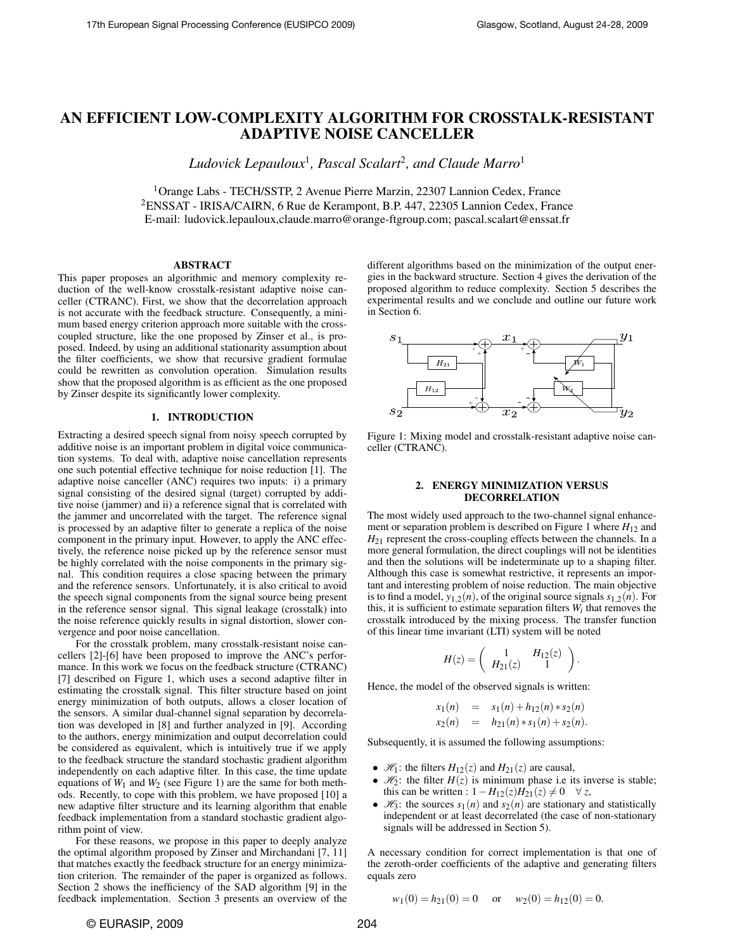# AN EFFICIENT LOW-COMPLEXITY ALGORITHM FOR CROSSTALK-RESISTANT ADAPTIVE NOISE CANCELLER

*Ludovick Lepauloux*<sup>1</sup> *, Pascal Scalart*<sup>2</sup> *, and Claude Marro*<sup>1</sup>

<sup>1</sup>Orange Labs - TECH/SSTP, 2 Avenue Pierre Marzin, 22307 Lannion Cedex, France <sup>2</sup>ENSSAT - IRISA/CAIRN, 6 Rue de Kerampont, B.P. 447, 22305 Lannion Cedex, France E-mail: ludovick.lepauloux,claude.marro@orange-ftgroup.com; pascal.scalart@enssat.fr

## ABSTRACT

This paper proposes an algorithmic and memory complexity reduction of the well-know crosstalk-resistant adaptive noise canceller (CTRANC). First, we show that the decorrelation approach is not accurate with the feedback structure. Consequently, a minimum based energy criterion approach more suitable with the crosscoupled structure, like the one proposed by Zinser et al., is proposed. Indeed, by using an additional stationarity assumption about the filter coefficients, we show that recursive gradient formulae could be rewritten as convolution operation. Simulation results show that the proposed algorithm is as efficient as the one proposed by Zinser despite its significantly lower complexity.

## 1. INTRODUCTION

Extracting a desired speech signal from noisy speech corrupted by additive noise is an important problem in digital voice communication systems. To deal with, adaptive noise cancellation represents one such potential effective technique for noise reduction [1]. The adaptive noise canceller (ANC) requires two inputs: i) a primary signal consisting of the desired signal (target) corrupted by additive noise (jammer) and ii) a reference signal that is correlated with the jammer and uncorrelated with the target. The reference signal is processed by an adaptive filter to generate a replica of the noise component in the primary input. However, to apply the ANC effectively, the reference noise picked up by the reference sensor must be highly correlated with the noise components in the primary signal. This condition requires a close spacing between the primary and the reference sensors. Unfortunately, it is also critical to avoid the speech signal components from the signal source being present in the reference sensor signal. This signal leakage (crosstalk) into the noise reference quickly results in signal distortion, slower convergence and poor noise cancellation.

For the crosstalk problem, many crosstalk-resistant noise cancellers [2]-[6] have been proposed to improve the ANC's performance. In this work we focus on the feedback structure (CTRANC) [7] described on Figure 1, which uses a second adaptive filter in estimating the crosstalk signal. This filter structure based on joint energy minimization of both outputs, allows a closer location of the sensors. A similar dual-channel signal separation by decorrelation was developed in [8] and further analyzed in [9]. According to the authors, energy minimization and output decorrelation could be considered as equivalent, which is intuitively true if we apply to the feedback structure the standard stochastic gradient algorithm independently on each adaptive filter. In this case, the time update equations of  $W_1$  and  $W_2$  (see Figure 1) are the same for both methods. Recently, to cope with this problem, we have proposed [10] a new adaptive filter structure and its learning algorithm that enable feedback implementation from a standard stochastic gradient algorithm point of view.

For these reasons, we propose in this paper to deeply analyze the optimal algorithm proposed by Zinser and Mirchandani [7, 11] that matches exactly the feedback structure for an energy minimization criterion. The remainder of the paper is organized as follows. Section 2 shows the inefficiency of the SAD algorithm [9] in the feedback implementation. Section 3 presents an overview of the

different algorithms based on the minimization of the output energies in the backward structure. Section 4 gives the derivation of the proposed algorithm to reduce complexity. Section 5 describes the experimental results and we conclude and outline our future work in Section 6.



Figure 1: Mixing model and crosstalk-resistant adaptive noise canceller (CTRANC).

## 2. ENERGY MINIMIZATION VERSUS DECORRELATION

The most widely used approach to the two-channel signal enhancement or separation problem is described on Figure 1 where  $H_{12}$  and  $H_{21}$  represent the cross-coupling effects between the channels. In a more general formulation, the direct couplings will not be identities and then the solutions will be indeterminate up to a shaping filter. Although this case is somewhat restrictive, it represents an important and interesting problem of noise reduction. The main objective is to find a model,  $y_{1,2}(n)$ , of the original source signals  $s_{1,2}(n)$ . For this, it is sufficient to estimate separation filters  $W_i$  that removes the crosstalk introduced by the mixing process. The transfer function of this linear time invariant (LTI) system will be noted

$$
H(z) = \left(\begin{array}{cc} 1 & H_{12}(z) \\ H_{21}(z) & 1 \end{array}\right)
$$

.

Hence, the model of the observed signals is written:

$$
x_1(n) = s_1(n) + h_{12}(n) * s_2(n)
$$
  
\n
$$
x_2(n) = h_{21}(n) * s_1(n) + s_2(n).
$$

Subsequently, it is assumed the following assumptions:

- $\mathcal{H}_1$ : the filters  $H_{12}(z)$  and  $H_{21}(z)$  are causal,
- $\mathcal{H}_2$ : the filter  $H(z)$  is minimum phase i.e its inverse is stable; this can be written :  $1 - H_{12}(z)H_{21}(z) \neq 0$  ∀ *z*,
- $\mathcal{H}_3$ : the sources  $s_1(n)$  and  $s_2(n)$  are stationary and statistically independent or at least decorrelated (the case of non-stationary signals will be addressed in Section 5).

A necessary condition for correct implementation is that one of the zeroth-order coefficients of the adaptive and generating filters equals zero

$$
w_1(0) = h_{21}(0) = 0
$$
 or  $w_2(0) = h_{12}(0) = 0$ .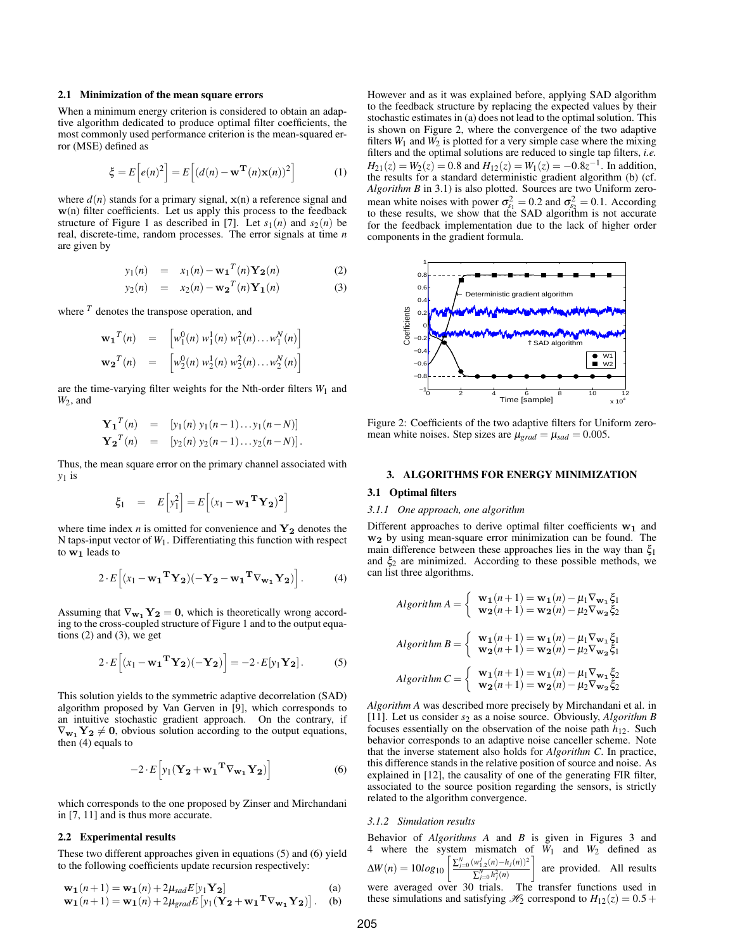#### 2.1 Minimization of the mean square errors

When a minimum energy criterion is considered to obtain an adaptive algorithm dedicated to produce optimal filter coefficients, the most commonly used performance criterion is the mean-squared error (MSE) defined as

$$
\xi = E\left[e(n)^2\right] = E\left[(d(n) - \mathbf{w}^{\mathbf{T}}(n)\mathbf{x}(n))^2\right]
$$
 (1)

where  $d(n)$  stands for a primary signal,  $\mathbf{x}(n)$  a reference signal and w(n) filter coefficients. Let us apply this process to the feedback structure of Figure 1 as described in [7]. Let  $s_1(n)$  and  $s_2(n)$  be real, discrete-time, random processes. The error signals at time *n* are given by

$$
y_1(n) = x_1(n) - \mathbf{w_1}^T(n) \mathbf{Y_2}(n)
$$
 (2)

$$
y_2(n) = x_2(n) - \mathbf{w_2}^T(n) \mathbf{Y_1}(n)
$$
 (3)

where  $<sup>T</sup>$  denotes the transpose operation, and</sup>

$$
\mathbf{w_1}^T(n) = [w_1^0(n) w_1^1(n) w_1^2(n) \dots w_1^N(n)]
$$
  

$$
\mathbf{w_2}^T(n) = [w_2^0(n) w_2^1(n) w_2^2(n) \dots w_2^N(n)]
$$

are the time-varying filter weights for the Nth-order filters  $W_1$  and *W*2, and

$$
\mathbf{Y_1}^T(n) = [y_1(n) y_1(n-1)...y_1(n-N)]
$$
  
\n
$$
\mathbf{Y_2}^T(n) = [y_2(n) y_2(n-1)...y_2(n-N)].
$$

Thus, the mean square error on the primary channel associated with *y*<sup>1</sup> is

$$
\xi_1 = E\left[y_1^2\right] = E\left[(x_1 - \mathbf{w_1}^T \mathbf{Y_2})^2\right]
$$

where time index  $n$  is omitted for convenience and  $Y_2$  denotes the N taps-input vector of *W*1. Differentiating this function with respect to  $w_1$  leads to

$$
2 \cdot E\left[ (\mathbf{x}_1 - \mathbf{w_1}^{\mathbf{T}} \mathbf{Y_2}) (-\mathbf{Y_2} - \mathbf{w_1}^{\mathbf{T}} \nabla_{\mathbf{w_1}} \mathbf{Y_2}) \right].
$$
 (4)

Assuming that  $\nabla_{\mathbf{w}_1} \mathbf{Y}_2 = \mathbf{0}$ , which is theoretically wrong according to the cross-coupled structure of Figure 1 and to the output equations  $(2)$  and  $(3)$ , we get

$$
2 \cdot E\left[ (\mathbf{x}_1 - \mathbf{w_1}^{\mathrm{T}} \mathbf{Y_2}) (-\mathbf{Y_2}) \right] = -2 \cdot E[\mathbf{y}_1 \mathbf{Y_2}]. \tag{5}
$$

This solution yields to the symmetric adaptive decorrelation (SAD) algorithm proposed by Van Gerven in [9], which corresponds to an intuitive stochastic gradient approach. On the contrary, if  $\nabla_{\mathbf{w}_1} \mathbf{Y}_2 \neq \mathbf{0}$ , obvious solution according to the output equations, then (4) equals to

$$
-2 \cdot E \left[ y_1 (\mathbf{Y_2} + \mathbf{w_1}^T \nabla_{\mathbf{w_1}} \mathbf{Y_2}) \right]
$$
 (6)

which corresponds to the one proposed by Zinser and Mirchandani in [7, 11] and is thus more accurate.

#### 2.2 Experimental results

These two different approaches given in equations (5) and (6) yield to the following coefficients update recursion respectively:

$$
\mathbf{w}_1(n+1) = \mathbf{w}_1(n) + 2\mu_{sad} E[y_1 \mathbf{Y}_2]
$$
\n
$$
\mathbf{w}_1(n+1) = \mathbf{w}_1(n) + 2\mu_{grad} E[y_1 (\mathbf{Y}_2 + \mathbf{w}_1 \mathbf{Y}_{\mathbf{w}_1} \mathbf{Y}_2)].
$$
\n(b)

However and as it was explained before, applying SAD algorithm to the feedback structure by replacing the expected values by their stochastic estimates in (a) does not lead to the optimal solution. This is shown on Figure 2, where the convergence of the two adaptive filters  $W_1$  and  $W_2$  is plotted for a very simple case where the mixing filters and the optimal solutions are reduced to single tap filters, *i.e.*  $H_{21}(z) = W_2(z) = 0.8$  and  $H_{12}(z) = W_1(z) = -0.8z^{-1}$ . In addition, the results for a standard deterministic gradient algorithm (b) (cf. *Algorithm B* in 3.1) is also plotted. Sources are two Uniform zeromean white noises with power  $\sigma_{s_1}^2 = 0.2$  and  $\sigma_{s_2}^2 = 0.1$ . According to these results, we show that the SAD algorithm is not accurate for the feedback implementation due to the lack of higher order components in the gradient formula.



Figure 2: Coefficients of the two adaptive filters for Uniform zeromean white noises. Step sizes are  $\mu_{grad} = \mu_{sad} = 0.005$ .

## 3. ALGORITHMS FOR ENERGY MINIMIZATION

# 3.1 Optimal filters

#### *3.1.1 One approach, one algorithm*

Different approaches to derive optimal filter coefficients  $w_1$  and w2 by using mean-square error minimization can be found. The main difference between these approaches lies in the way than  $\xi_1$ and  $\xi_2$  are minimized. According to these possible methods, we can list three algorithms.

$$
Algorithm\ A = \begin{cases} \mathbf{w_1}(n+1) = \mathbf{w_1}(n) - \mu_1 \nabla_{\mathbf{w_1}} \xi_1 \\ \mathbf{w_2}(n+1) = \mathbf{w_2}(n) - \mu_2 \nabla_{\mathbf{w_2}} \xi_2 \end{cases}
$$
  
Algorithm 
$$
B = \begin{cases} \mathbf{w_1}(n+1) = \mathbf{w_1}(n) - \mu_1 \nabla_{\mathbf{w_1}} \xi_1 \\ \mathbf{w_2}(n+1) = \mathbf{w_2}(n) - \mu_2 \nabla_{\mathbf{w_2}} \xi_1 \end{cases}
$$
  
Algorithm 
$$
C = \begin{cases} \mathbf{w_1}(n+1) = \mathbf{w_1}(n) - \mu_1 \nabla_{\mathbf{w_1}} \xi_2 \\ \mathbf{w_2}(n+1) = \mathbf{w_2}(n) - \mu_2 \nabla_{\mathbf{w_2}} \xi_2 \end{cases}
$$

*Algorithm A* was described more precisely by Mirchandani et al. in [11]. Let us consider *s*<sup>2</sup> as a noise source. Obviously, *Algorithm B* focuses essentially on the observation of the noise path *h*12. Such behavior corresponds to an adaptive noise canceller scheme. Note that the inverse statement also holds for *Algorithm C*. In practice, this difference stands in the relative position of source and noise. As explained in [12], the causality of one of the generating FIR filter, associated to the source position regarding the sensors, is strictly related to the algorithm convergence.

#### *3.1.2 Simulation results*

Behavior of *Algorithms A* and *B* is given in Figures 3 and 4 where the system mismatch of  $W_1$  and  $W_2$  defined as where the system mismatch of  $W_1$  and  $W_2$  defined as  $\Delta W(n) = 10log_{10}$  $\sum_{j=0}^{N} (w_{1,2}^j(n) - h_j(n))^2$  $\sum_{j=0}^{N} h_j^2(n)$ 1 are provided. All results were averaged over 30 trials. The transfer functions used in these simulations and satisfying  $\mathcal{H}_2$  correspond to  $H_{12}(z) = 0.5 +$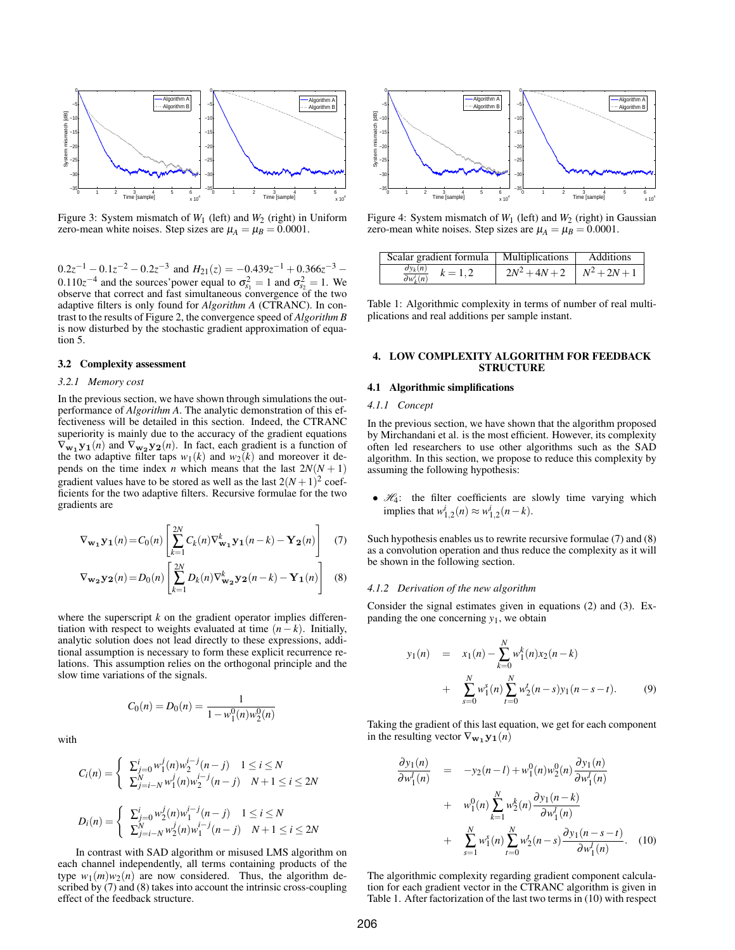

Figure 3: System mismatch of  $W_1$  (left) and  $W_2$  (right) in Uniform zero-mean white noises. Step sizes are  $\mu_A = \mu_B = 0.0001$ .

 $0.2z^{-1} - 0.1z^{-2} - 0.2z^{-3}$  and  $H_{21}(z) = -0.439z^{-1} + 0.366z^{-3} 0.110z^{-4}$  and the sources' power equal to  $\sigma_{s_1}^2 = 1$  and  $\sigma_{s_2}^2 = 1$ . We observe that correct and fast simultaneous convergence of the two adaptive filters is only found for *Algorithm A* (CTRANC). In contrast to the results of Figure 2, the convergence speed of *Algorithm B* is now disturbed by the stochastic gradient approximation of equation 5.

### 3.2 Complexity assessment

#### *3.2.1 Memory cost*

In the previous section, we have shown through simulations the outperformance of *Algorithm A*. The analytic demonstration of this effectiveness will be detailed in this section. Indeed, the CTRANC superiority is mainly due to the accuracy of the gradient equations  $\nabla_{\mathbf{w_1} y_1}(n)$  and  $\nabla_{\mathbf{w_2} y_2}(n)$ . In fact, each gradient is a function of the two adaptive filter taps  $w_1(k)$  and  $w_2(k)$  and moreover it depends on the time index *n* which means that the last  $2N(N + 1)$ gradient values have to be stored as well as the last  $2(N+1)^2$  coefficients for the two adaptive filters. Recursive formulae for the two gradients are Figure 11:  $\frac{d_1}{dx_1x_2} = 0.22$ <br>
Figure 11:  $\frac{d_1x_3}{dx_1x_2} = 0.22$ <br>
Figure 11:  $\frac{d_1x_2}{dx_1x_2} = 0.22$ <br>
Figure 11:  $\frac{d_1x_3}{dx_1x_2} = 0.22$ <br>
Figure 11:  $\frac{d_1x_3}{dx_1x_2} = 0.22$ <br>
Conservative interval in the formu

$$
\nabla_{\mathbf{w}_1} \mathbf{y}_1(n) = C_0(n) \left[ \sum_{k=1}^{2N} C_k(n) \nabla_{\mathbf{w}_1}^k \mathbf{y}_1(n-k) - \mathbf{Y}_2(n) \right] \tag{7}
$$

$$
\nabla_{\mathbf{w}_2} \mathbf{y}_2(n) = D_0(n) \left[ \sum_{k=1}^{2N} D_k(n) \nabla_{\mathbf{w}_2}^k \mathbf{y}_2(n-k) - \mathbf{Y}_1(n) \right] \quad (8)
$$

where the superscript  $k$  on the gradient operator implies differentiation with respect to weights evaluated at time  $(n - k)$ . Initially, analytic solution does not lead directly to these expressions, additional assumption is necessary to form these explicit recurrence relations. This assumption relies on the orthogonal principle and the slow time variations of the signals.

$$
C_0(n) = D_0(n) = \frac{1}{1 - w_1^0(n)w_2^0(n)}
$$

with

$$
C_i(n) = \begin{cases} \sum_{j=0}^{i} w_1^j(n) w_2^{i-j}(n-j) & 1 \le i \le N \\ \sum_{j=i-N}^{N} w_1^j(n) w_2^{i-j}(n-j) & N+1 \le i \le 2N \end{cases}
$$
  

$$
D_i(n) = \begin{cases} \sum_{j=0}^{i} w_2^j(n) w_1^{i-j}(n-j) & 1 \le i \le N \\ \sum_{j=i-N}^{N} w_2^j(n) w_1^{i-j}(n-j) & N+1 \le i \le 2N \end{cases}
$$

In contrast with SAD algorithm or misused LMS algorithm on each channel independently, all terms containing products of the type  $w_1(m)w_2(n)$  are now considered. Thus, the algorithm described by (7) and (8) takes into account the intrinsic cross-coupling effect of the feedback structure.



Figure 4: System mismatch of  $W_1$  (left) and  $W_2$  (right) in Gaussian zero-mean white noises. Step sizes are  $\mu_A = \mu_B = 0.0001$ .

| Scalar gradient formula   Multiplications              |                                   | Additions |
|--------------------------------------------------------|-----------------------------------|-----------|
| $\frac{\partial y_k(n)}{\partial w_k(i)}$<br>$k = 1.2$ | $2N^2 + 4N + 2 \mid N^2 + 2N + 1$ |           |

Table 1: Algorithmic complexity in terms of number of real multiplications and real additions per sample instant.

## 4. LOW COMPLEXITY ALGORITHM FOR FEEDBACK **STRUCTURE**

#### 4.1 Algorithmic simplifications

#### *4.1.1 Concept*

In the previous section, we have shown that the algorithm proposed by Mirchandani et al. is the most efficient. However, its complexity often led researchers to use other algorithms such as the SAD algorithm. In this section, we propose to reduce this complexity by assuming the following hypothesis:

•  $H_4$ : the filter coefficients are slowly time varying which  ${\rm implies that} \ w^i_{1,2}(n) ≈ w^i_{1,2}(n-k).$ 

Such hypothesis enables us to rewrite recursive formulae (7) and (8) as a convolution operation and thus reduce the complexity as it will be shown in the following section.

#### *4.1.2 Derivation of the new algorithm*

Consider the signal estimates given in equations (2) and (3). Expanding the one concerning  $y_1$ , we obtain

$$
y_1(n) = x_1(n) - \sum_{k=0}^{N} w_1^k(n) x_2(n-k)
$$
  
+ 
$$
\sum_{s=0}^{N} w_1^s(n) \sum_{t=0}^{N} w_2^t(n-s) y_1(n-s-t).
$$
 (9)

Taking the gradient of this last equation, we get for each component in the resulting vector  $\nabla_{\mathbf{w}_1} \mathbf{y}_1(n)$ 

$$
\frac{\partial y_1(n)}{\partial w_1^l(n)} = -y_2(n-l) + w_1^0(n)w_2^0(n)\frac{\partial y_1(n)}{\partial w_1^l(n)} + w_1^0(n)\sum_{k=1}^N w_2^k(n)\frac{\partial y_1(n-k)}{\partial w_1^l(n)} + \sum_{s=1}^N w_1^s(n)\sum_{t=0}^N w_2^t(n-s)\frac{\partial y_1(n-s-t)}{\partial w_1^l(n)}. (10)
$$

The algorithmic complexity regarding gradient component calculation for each gradient vector in the CTRANC algorithm is given in Table 1. After factorization of the last two terms in (10) with respect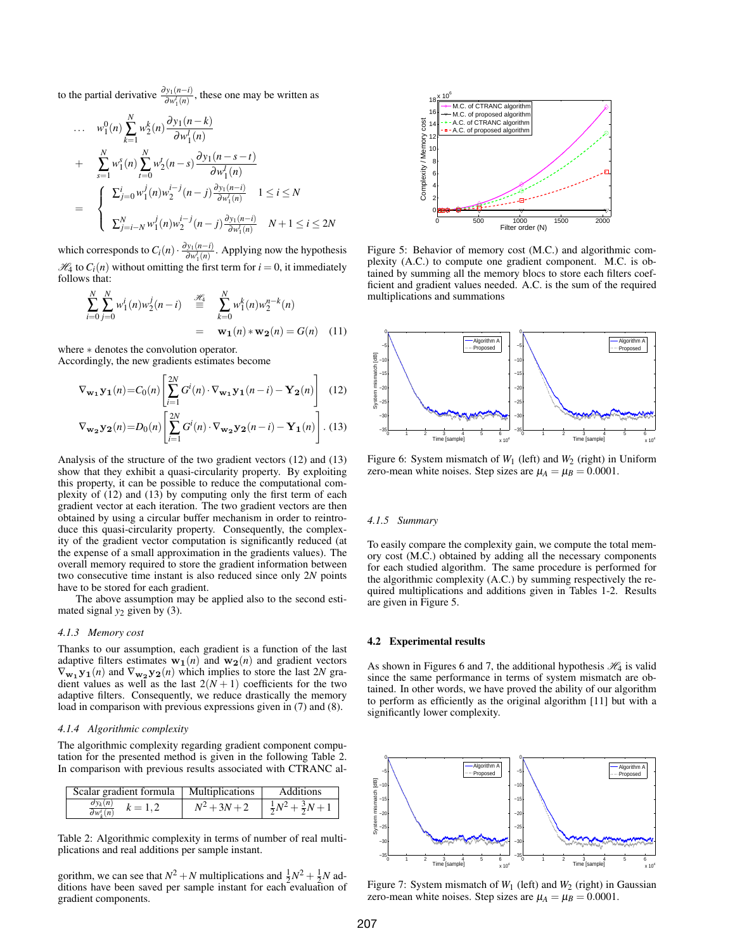to the partial derivative  $\frac{\partial y_1(n-i)}{\partial w_1'(n)}$ , these one may be written as

$$
\cdots \quad w_1^0(n) \sum_{k=1}^N w_2^k(n) \frac{\partial y_1(n-k)}{\partial w_1^l(n)}
$$
\n
$$
+ \quad \sum_{s=1}^N w_1^s(n) \sum_{t=0}^N w_2^t(n-s) \frac{\partial y_1(n-s-t)}{\partial w_1^l(n)}
$$
\n
$$
= \quad \begin{cases}\n\sum_{j=0}^i w_1^j(n) w_2^{i-j}(n-j) \frac{\partial y_1(n-i)}{\partial w_1^l(n)} & 1 \le i \le N \\
\sum_{j=i-N}^N w_1^j(n) w_2^{i-j}(n-j) \frac{\partial y_1(n-i)}{\partial w_1^l(n)} & N+1 \le i \le 2N\n\end{cases}
$$

which corresponds to  $C_i(n) \cdot \frac{\partial y_1(n-i)}{\partial w_i^i(n)}$  $\frac{\partial y_1(n-l)}{\partial w_1'(n)}$ . Applying now the hypothesis  $\mathcal{H}_4$  to  $C_i(n)$  without omitting the first term for  $i = 0$ , it immediately follows that:

$$
\sum_{i=0}^{N} \sum_{j=0}^{N} w_1^{i}(n) w_2^{j}(n-i) \stackrel{\mathcal{H}_3}{\equiv} \sum_{k=0}^{N} w_1^{k}(n) w_2^{n-k}(n)
$$
  
=  $\mathbf{w_1}(n) * \mathbf{w_2}(n) = G(n)$  (11)

where ∗ denotes the convolution operator. Accordingly, the new gradients estimates become

$$
\nabla_{\mathbf{w_1}} \mathbf{y_1}(n) = C_0(n) \left[ \sum_{i=1}^{2N} G^i(n) \cdot \nabla_{\mathbf{w_1}} \mathbf{y_1}(n-i) - \mathbf{Y_2}(n) \right] \tag{12}
$$
\n
$$
\nabla_{\mathbf{w_2}} \mathbf{y_2}(n) = D_0(n) \left[ \sum_{i=1}^{2N} G^i(n) \cdot \nabla_{\mathbf{w_2}} \mathbf{y_2}(n-i) - \mathbf{Y_1}(n) \right]. \tag{13}
$$

Analysis of the structure of the two gradient vectors (12) and (13) show that they exhibit a quasi-circularity property. By exploiting this property, it can be possible to reduce the computational complexity of (12) and (13) by computing only the first term of each gradient vector at each iteration. The two gradient vectors are then obtained by using a circular buffer mechanism in order to reintroduce this quasi-circularity property. Consequently, the complexity of the gradient vector computation is significantly reduced (at the expense of a small approximation in the gradients values). The overall memory required to store the gradient information between two consecutive time instant is also reduced since only 2*N* points have to be stored for each gradient. which are entropy to  $\frac{1}{2} \sum_{j=1}^{\infty} x_j v_j'(\sigma) u_j'(\sigma - f) u_{ij} \sigma_{ij}$ <br>
which converges to  $C_i(\sigma)$  is  $\frac{1}{2} \sum_{j=1}^{\infty} x_j'(\sigma) u_j'(\sigma - f) u_{ij} \sigma_{ij}$ <br>
which converges to  $C_i(\sigma)$  is  $\frac{1}{2} \sum_{j=1}^{\infty} x_j'(\sigma) u_j'(\sigma - f)$ <br>
Equivaria

The above assumption may be applied also to the second estimated signal  $y_2$  given by (3).

## *4.1.3 Memory cost*

Thanks to our assumption, each gradient is a function of the last adaptive filters estimates  $w_1(n)$  and  $w_2(n)$  and gradient vectors  $\nabla_{\mathbf{w_1}} \mathbf{y_1}(n)$  and  $\nabla_{\mathbf{w_2}} \mathbf{y_2}(n)$  which implies to store the last 2*N* gradient values as well as the last  $2(N + 1)$  coefficients for the two adaptive filters. Consequently, we reduce drastically the memory load in comparison with previous expressions given in (7) and (8).

# *4.1.4 Algorithmic complexity*

The algorithmic complexity regarding gradient component computation for the presented method is given in the following Table 2. In comparison with previous results associated with CTRANC al-

| Scalar gradient formula   Multiplications            | Additions                                                |
|------------------------------------------------------|----------------------------------------------------------|
| $\frac{\partial y_k(n)}{\partial w_k(i)}$<br>$k=1.2$ | $N^2 + 3N + 2 \quad   \frac{1}{2}N^2 + \frac{3}{2}N + 1$ |

Table 2: Algorithmic complexity in terms of number of real multiplications and real additions per sample instant.

gorithm, we can see that  $N^2 + N$  multiplications and  $\frac{1}{2}N^2 + \frac{1}{2}N$  additions have been saved per sample instant for each evaluation of



Figure 5: Behavior of memory cost (M.C.) and algorithmic complexity (A.C.) to compute one gradient component. M.C. is obtained by summing all the memory blocs to store each filters coefficient and gradient values needed. A.C. is the sum of the required multiplications and summations



Figure 6: System mismatch of  $W_1$  (left) and  $W_2$  (right) in Uniform zero-mean white noises. Step sizes are  $\mu_A = \mu_B = 0.0001$ .

# *4.1.5 Summary*

To easily compare the complexity gain, we compute the total memory cost (M.C.) obtained by adding all the necessary components for each studied algorithm. The same procedure is performed for the algorithmic complexity (A.C.) by summing respectively the required multiplications and additions given in Tables 1-2. Results are given in Figure 5.

#### 4.2 Experimental results

As shown in Figures 6 and 7, the additional hypothesis  $\mathcal{H}_4$  is valid since the same performance in terms of system mismatch are obtained. In other words, we have proved the ability of our algorithm to perform as efficiently as the original algorithm [11] but with a significantly lower complexity.



Figure 7: System mismatch of  $W_1$  (left) and  $W_2$  (right) in Gaussian zero-mean white noises. Step sizes are  $\mu_A = \mu_B = 0.0001$ .